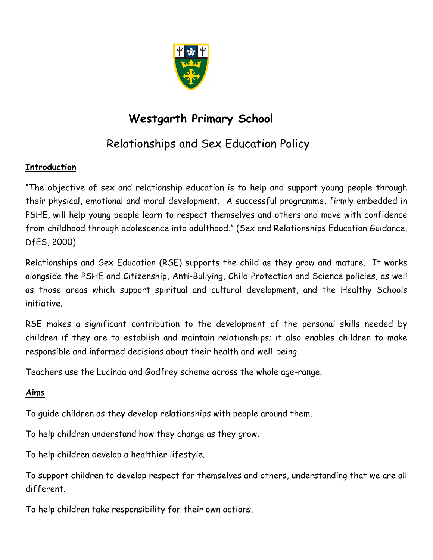

# **Westgarth Primary School**

# Relationships and Sex Education Policy

## **Introduction**

"The objective of sex and relationship education is to help and support young people through their physical, emotional and moral development. A successful programme, firmly embedded in PSHE, will help young people learn to respect themselves and others and move with confidence from childhood through adolescence into adulthood." (Sex and Relationships Education Guidance, DfES, 2000)

Relationships and Sex Education (RSE) supports the child as they grow and mature. It works alongside the PSHE and Citizenship, Anti-Bullying, Child Protection and Science policies, as well as those areas which support spiritual and cultural development, and the Healthy Schools initiative.

RSE makes a significant contribution to the development of the personal skills needed by children if they are to establish and maintain relationships; it also enables children to make responsible and informed decisions about their health and well-being.

Teachers use the Lucinda and Godfrey scheme across the whole age-range.

# **Aims**

To guide children as they develop relationships with people around them.

To help children understand how they change as they grow.

To help children develop a healthier lifestyle.

To support children to develop respect for themselves and others, understanding that we are all different.

To help children take responsibility for their own actions.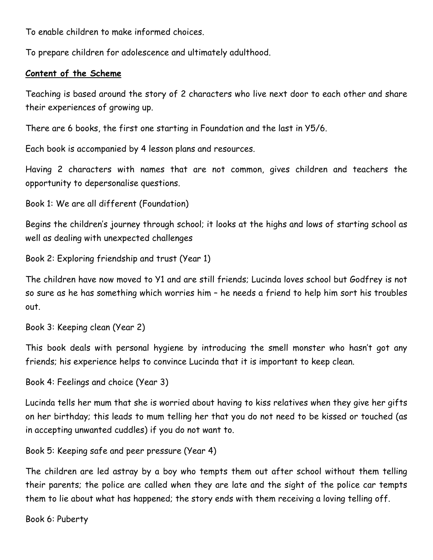To enable children to make informed choices.

To prepare children for adolescence and ultimately adulthood.

### **Content of the Scheme**

Teaching is based around the story of 2 characters who live next door to each other and share their experiences of growing up.

There are 6 books, the first one starting in Foundation and the last in Y5/6.

Each book is accompanied by 4 lesson plans and resources.

Having 2 characters with names that are not common, gives children and teachers the opportunity to depersonalise questions.

Book 1: We are all different (Foundation)

Begins the children's journey through school; it looks at the highs and lows of starting school as well as dealing with unexpected challenges

Book 2: Exploring friendship and trust (Year 1)

The children have now moved to Y1 and are still friends; Lucinda loves school but Godfrey is not so sure as he has something which worries him – he needs a friend to help him sort his troubles out.

Book 3: Keeping clean (Year 2)

This book deals with personal hygiene by introducing the smell monster who hasn't got any friends; his experience helps to convince Lucinda that it is important to keep clean.

Book 4: Feelings and choice (Year 3)

Lucinda tells her mum that she is worried about having to kiss relatives when they give her gifts on her birthday; this leads to mum telling her that you do not need to be kissed or touched (as in accepting unwanted cuddles) if you do not want to.

Book 5: Keeping safe and peer pressure (Year 4)

The children are led astray by a boy who tempts them out after school without them telling their parents; the police are called when they are late and the sight of the police car tempts them to lie about what has happened; the story ends with them receiving a loving telling off.

Book 6: Puberty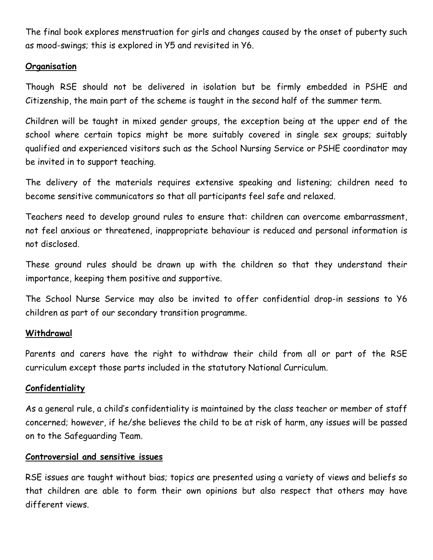The final book explores menstruation for girls and changes caused by the onset of puberty such as mood-swings; this is explored in Y5 and revisited in Y6.

### **Organisation**

Though RSE should not be delivered in isolation but be firmly embedded in PSHE and Citizenship, the main part of the scheme is taught in the second half of the summer term.

Children will be taught in mixed gender groups, the exception being at the upper end of the school where certain topics might be more suitably covered in single sex groups; suitably qualified and experienced visitors such as the School Nursing Service or PSHE coordinator may be invited in to support teaching.

The delivery of the materials requires extensive speaking and listening; children need to become sensitive communicators so that all participants feel safe and relaxed.

Teachers need to develop ground rules to ensure that: children can overcome embarrassment, not feel anxious or threatened, inappropriate behaviour is reduced and personal information is not disclosed.

These ground rules should be drawn up with the children so that they understand their importance, keeping them positive and supportive.

The School Nurse Service may also be invited to offer confidential drop-in sessions to Y6 children as part of our secondary transition programme.

### **Withdrawal**

Parents and carers have the right to withdraw their child from all or part of the RSE curriculum except those parts included in the statutory National Curriculum.

### **Confidentiality**

As a general rule, a child's confidentiality is maintained by the class teacher or member of staff concerned; however, if he/she believes the child to be at risk of harm, any issues will be passed on to the Safeguarding Team.

### **Controversial and sensitive issues**

RSE issues are taught without bias; topics are presented using a variety of views and beliefs so that children are able to form their own opinions but also respect that others may have different views.